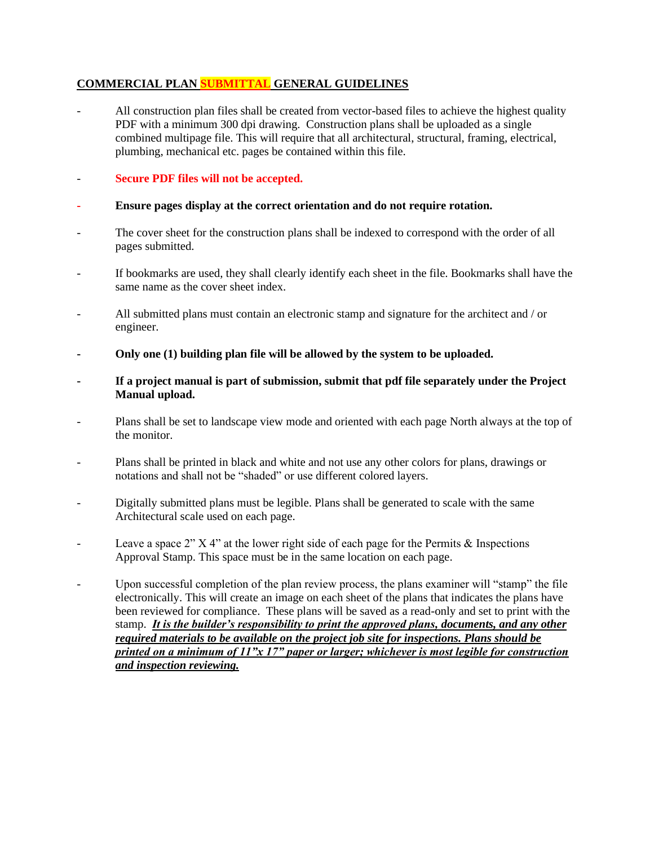# **COMMERCIAL PLAN SUBMITTAL GENERAL GUIDELINES**

All construction plan files shall be created from vector-based files to achieve the highest quality PDF with a minimum 300 dpi drawing. Construction plans shall be uploaded as a single combined multipage file. This will require that all architectural, structural, framing, electrical, plumbing, mechanical etc. pages be contained within this file.

### - **Secure PDF files will not be accepted.**

- **- Ensure pages display at the correct orientation and do not require rotation.**
- The cover sheet for the construction plans shall be indexed to correspond with the order of all pages submitted.
- If bookmarks are used, they shall clearly identify each sheet in the file. Bookmarks shall have the same name as the cover sheet index.
- All submitted plans must contain an electronic stamp and signature for the architect and / or engineer.
- **- Only one (1) building plan file will be allowed by the system to be uploaded.**
- **- If a project manual is part of submission, submit that pdf file separately under the Project Manual upload.**
- Plans shall be set to landscape view mode and oriented with each page North always at the top of the monitor.
- Plans shall be printed in black and white and not use any other colors for plans, drawings or notations and shall not be "shaded" or use different colored layers.
- Digitally submitted plans must be legible. Plans shall be generated to scale with the same Architectural scale used on each page.
- Leave a space 2"  $X$  4" at the lower right side of each page for the Permits & Inspections Approval Stamp. This space must be in the same location on each page.
- Upon successful completion of the plan review process, the plans examiner will "stamp" the file electronically. This will create an image on each sheet of the plans that indicates the plans have been reviewed for compliance. These plans will be saved as a read-only and set to print with the stamp. *It is the builder's responsibility to print the approved plans, documents, and any other required materials to be available on the project job site for inspections. Plans should be printed on a minimum of 11"x 17" paper or larger; whichever is most legible for construction and inspection reviewing.*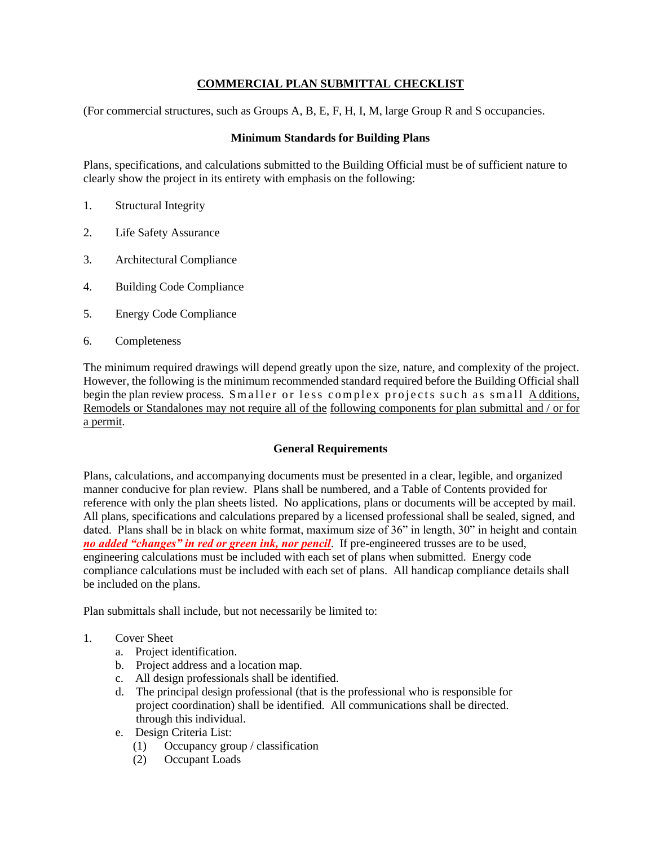## **COMMERCIAL PLAN SUBMITTAL CHECKLIST**

(For commercial structures, such as Groups A, B, E, F, H, I, M, large Group R and S occupancies.

### **Minimum Standards for Building Plans**

Plans, specifications, and calculations submitted to the Building Official must be of sufficient nature to clearly show the project in its entirety with emphasis on the following:

- 1. Structural Integrity
- 2. Life Safety Assurance
- 3. Architectural Compliance
- 4. Building Code Compliance
- 5. Energy Code Compliance
- 6. Completeness

The minimum required drawings will depend greatly upon the size, nature, and complexity of the project. However, the following is the minimum recommended standard required before the Building Official shall begin the plan review process. Smaller or less complex projects such as small Additions, Remodels or Standalones may not require all of the following components for plan submittal and / or for a permit.

#### **General Requirements**

Plans, calculations, and accompanying documents must be presented in a clear, legible, and organized manner conducive for plan review. Plans shall be numbered, and a Table of Contents provided for reference with only the plan sheets listed. No applications, plans or documents will be accepted by mail. All plans, specifications and calculations prepared by a licensed professional shall be sealed, signed, and dated. Plans shall be in black on white format, maximum size of 36" in length, 30" in height and contain *no added "changes" in red or green ink, nor pencil*. If pre-engineered trusses are to be used, engineering calculations must be included with each set of plans when submitted. Energy code compliance calculations must be included with each set of plans. All handicap compliance details shall be included on the plans.

Plan submittals shall include, but not necessarily be limited to:

- 1. Cover Sheet
	- a. Project identification.
	- b. Project address and a location map.
	- c. All design professionals shall be identified.
	- d. The principal design professional (that is the professional who is responsible for project coordination) shall be identified. All communications shall be directed. through this individual.
	- e. Design Criteria List:
		- (1) Occupancy group / classification
		- (2) Occupant Loads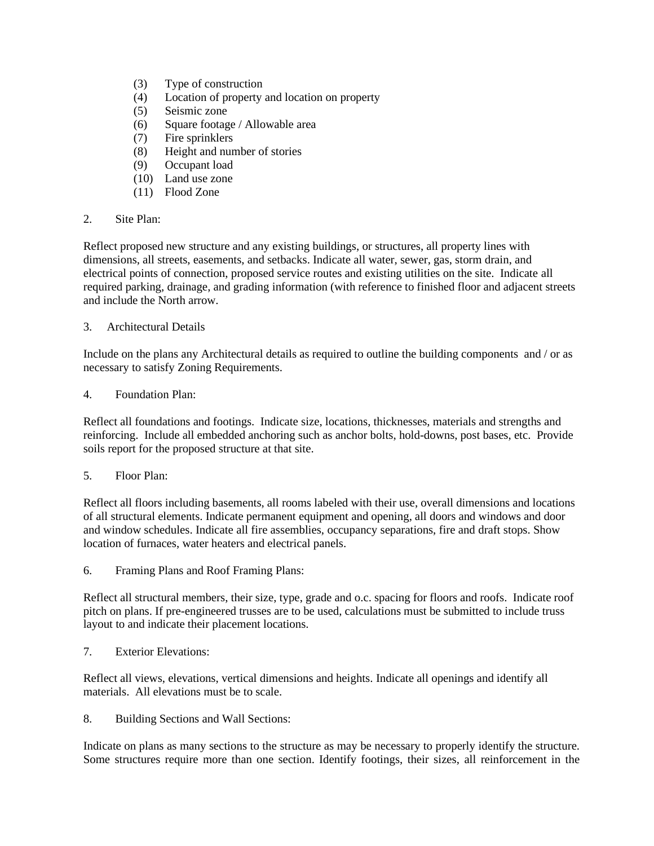- (3) Type of construction
- (4) Location of property and location on property
- (5) Seismic zone
- (6) Square footage / Allowable area
- (7) Fire sprinklers
- (8) Height and number of stories
- (9) Occupant load
- (10) Land use zone
- (11) Flood Zone
- 2. Site Plan:

Reflect proposed new structure and any existing buildings, or structures, all property lines with dimensions, all streets, easements, and setbacks. Indicate all water, sewer, gas, storm drain, and electrical points of connection, proposed service routes and existing utilities on the site. Indicate all required parking, drainage, and grading information (with reference to finished floor and adjacent streets and include the North arrow.

### 3. Architectural Details

Include on the plans any Architectural details as required to outline the building components and / or as necessary to satisfy Zoning Requirements.

### 4. Foundation Plan:

Reflect all foundations and footings. Indicate size, locations, thicknesses, materials and strengths and reinforcing. Include all embedded anchoring such as anchor bolts, hold-downs, post bases, etc. Provide soils report for the proposed structure at that site.

### 5. Floor Plan:

Reflect all floors including basements, all rooms labeled with their use, overall dimensions and locations of all structural elements. Indicate permanent equipment and opening, all doors and windows and door and window schedules. Indicate all fire assemblies, occupancy separations, fire and draft stops. Show location of furnaces, water heaters and electrical panels.

6. Framing Plans and Roof Framing Plans:

Reflect all structural members, their size, type, grade and o.c. spacing for floors and roofs. Indicate roof pitch on plans. If pre-engineered trusses are to be used, calculations must be submitted to include truss layout to and indicate their placement locations.

7. Exterior Elevations:

Reflect all views, elevations, vertical dimensions and heights. Indicate all openings and identify all materials. All elevations must be to scale.

8. Building Sections and Wall Sections:

Indicate on plans as many sections to the structure as may be necessary to properly identify the structure. Some structures require more than one section. Identify footings, their sizes, all reinforcement in the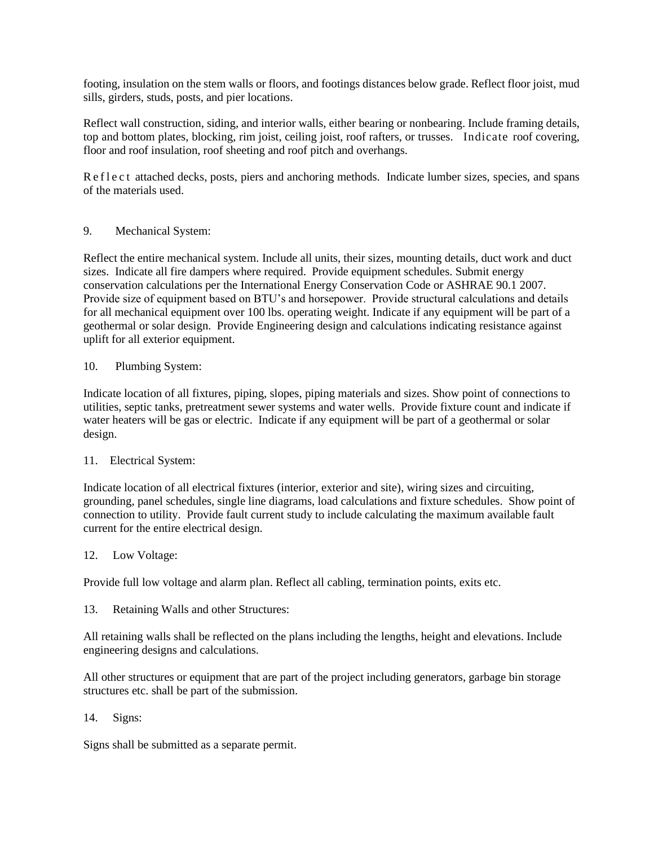footing, insulation on the stem walls or floors, and footings distances below grade. Reflect floor joist, mud sills, girders, studs, posts, and pier locations.

Reflect wall construction, siding, and interior walls, either bearing or nonbearing. Include framing details, top and bottom plates, blocking, rim joist, ceiling joist, roof rafters, or trusses. Indicate roof covering, floor and roof insulation, roof sheeting and roof pitch and overhangs.

R e f l e c t attached decks, posts, piers and anchoring methods. Indicate lumber sizes, species, and spans of the materials used.

9. Mechanical System:

Reflect the entire mechanical system. Include all units, their sizes, mounting details, duct work and duct sizes. Indicate all fire dampers where required. Provide equipment schedules. Submit energy conservation calculations per the International Energy Conservation Code or ASHRAE 90.1 2007. Provide size of equipment based on BTU's and horsepower. Provide structural calculations and details for all mechanical equipment over 100 lbs. operating weight. Indicate if any equipment will be part of a geothermal or solar design. Provide Engineering design and calculations indicating resistance against uplift for all exterior equipment.

### 10. Plumbing System:

Indicate location of all fixtures, piping, slopes, piping materials and sizes. Show point of connections to utilities, septic tanks, pretreatment sewer systems and water wells. Provide fixture count and indicate if water heaters will be gas or electric. Indicate if any equipment will be part of a geothermal or solar design.

### 11. Electrical System:

Indicate location of all electrical fixtures (interior, exterior and site), wiring sizes and circuiting, grounding, panel schedules, single line diagrams, load calculations and fixture schedules. Show point of connection to utility. Provide fault current study to include calculating the maximum available fault current for the entire electrical design.

### 12. Low Voltage:

Provide full low voltage and alarm plan. Reflect all cabling, termination points, exits etc.

13. Retaining Walls and other Structures:

All retaining walls shall be reflected on the plans including the lengths, height and elevations. Include engineering designs and calculations.

All other structures or equipment that are part of the project including generators, garbage bin storage structures etc. shall be part of the submission.

14. Signs:

Signs shall be submitted as a separate permit.